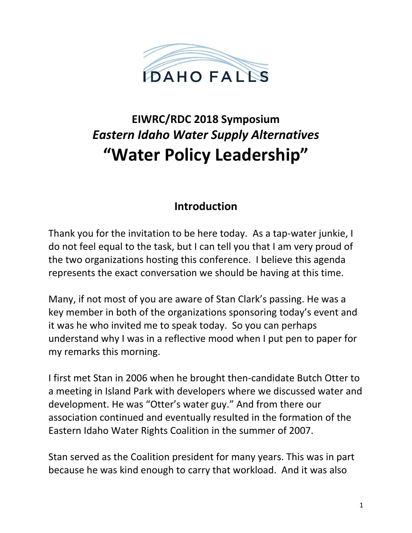

# **EIWRC/RDC 2018 Symposium**  *Eastern Idaho Water Supply Alternatives* **"Water Policy Leadership"**

### **Introduction**

Thank you for the invitation to be here today. As a tap-water junkie, I do not feel equal to the task, but I can tell you that I am very proud of the two organizations hosting this conference. I believe this agenda represents the exact conversation we should be having at this time.

Many, if not most of you are aware of Stan Clark's passing. He was a key member in both of the organizations sponsoring today's event and it was he who invited me to speak today. So you can perhaps understand why I was in a reflective mood when I put pen to paper for my remarks this morning.

I first met Stan in 2006 when he brought then-candidate Butch Otter to a meeting in Island Park with developers where we discussed water and development. He was "Otter's water guy." And from there our association continued and eventually resulted in the formation of the Eastern Idaho Water Rights Coalition in the summer of 2007.

Stan served as the Coalition president for many years. This was in part because he was kind enough to carry that workload. And it was also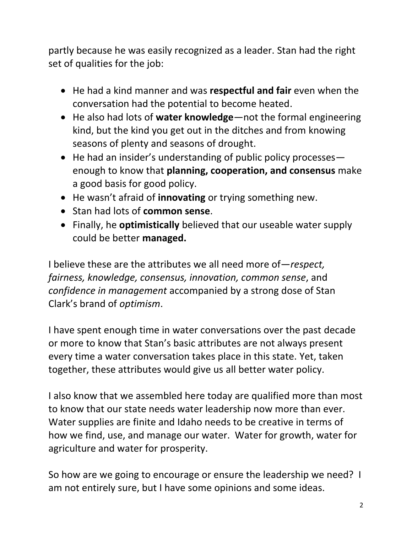partly because he was easily recognized as a leader. Stan had the right set of qualities for the job:

- He had a kind manner and was **respectful and fair** even when the conversation had the potential to become heated.
- He also had lots of **water knowledge**—not the formal engineering kind, but the kind you get out in the ditches and from knowing seasons of plenty and seasons of drought.
- He had an insider's understanding of public policy processesenough to know that **planning, cooperation, and consensus** make a good basis for good policy.
- He wasn't afraid of **innovating** or trying something new.
- Stan had lots of **common sense**.
- Finally, he **optimistically** believed that our useable water supply could be better **managed.**

I believe these are the attributes we all need more of—*respect, fairness, knowledge, consensus, innovation, common sense*, and *confidence in management* accompanied by a strong dose of Stan Clark's brand of *optimism*.

I have spent enough time in water conversations over the past decade or more to know that Stan's basic attributes are not always present every time a water conversation takes place in this state. Yet, taken together, these attributes would give us all better water policy.

I also know that we assembled here today are qualified more than most to know that our state needs water leadership now more than ever. Water supplies are finite and Idaho needs to be creative in terms of how we find, use, and manage our water. Water for growth, water for agriculture and water for prosperity.

So how are we going to encourage or ensure the leadership we need? I am not entirely sure, but I have some opinions and some ideas.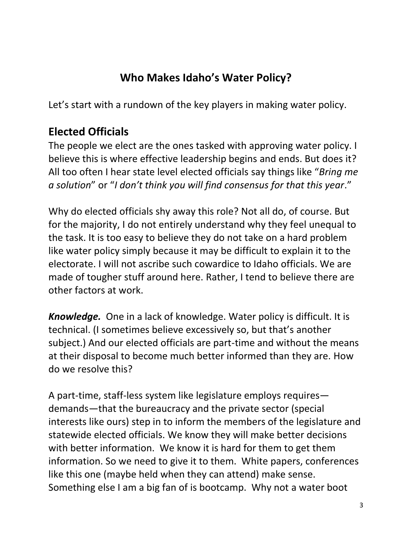# **Who Makes Idaho's Water Policy?**

Let's start with a rundown of the key players in making water policy.

## **Elected Officials**

The people we elect are the ones tasked with approving water policy. I believe this is where effective leadership begins and ends. But does it? All too often I hear state level elected officials say things like "*Bring me a solution*" or "*I don't think you will find consensus for that this year*."

Why do elected officials shy away this role? Not all do, of course. But for the majority, I do not entirely understand why they feel unequal to the task. It is too easy to believe they do not take on a hard problem like water policy simply because it may be difficult to explain it to the electorate. I will not ascribe such cowardice to Idaho officials. We are made of tougher stuff around here. Rather, I tend to believe there are other factors at work.

*Knowledge.* One in a lack of knowledge. Water policy is difficult. It is technical. (I sometimes believe excessively so, but that's another subject.) And our elected officials are part-time and without the means at their disposal to become much better informed than they are. How do we resolve this?

A part-time, staff-less system like legislature employs requires demands—that the bureaucracy and the private sector (special interests like ours) step in to inform the members of the legislature and statewide elected officials. We know they will make better decisions with better information. We know it is hard for them to get them information. So we need to give it to them. White papers, conferences like this one (maybe held when they can attend) make sense. Something else I am a big fan of is bootcamp. Why not a water boot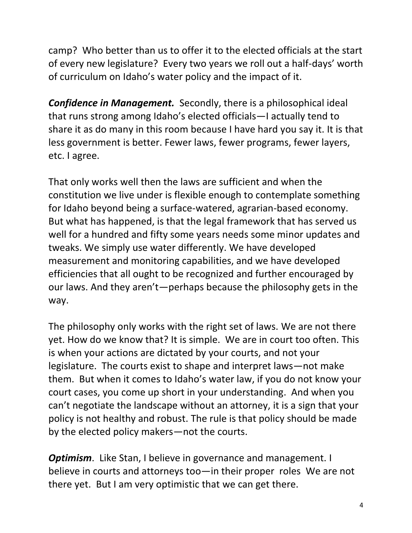camp? Who better than us to offer it to the elected officials at the start of every new legislature? Every two years we roll out a half-days' worth of curriculum on Idaho's water policy and the impact of it.

*Confidence in Management.* Secondly, there is a philosophical ideal that runs strong among Idaho's elected officials—I actually tend to share it as do many in this room because I have hard you say it. It is that less government is better. Fewer laws, fewer programs, fewer layers, etc. I agree.

That only works well then the laws are sufficient and when the constitution we live under is flexible enough to contemplate something for Idaho beyond being a surface-watered, agrarian-based economy. But what has happened, is that the legal framework that has served us well for a hundred and fifty some years needs some minor updates and tweaks. We simply use water differently. We have developed measurement and monitoring capabilities, and we have developed efficiencies that all ought to be recognized and further encouraged by our laws. And they aren't—perhaps because the philosophy gets in the way.

The philosophy only works with the right set of laws. We are not there yet. How do we know that? It is simple. We are in court too often. This is when your actions are dictated by your courts, and not your legislature. The courts exist to shape and interpret laws—not make them. But when it comes to Idaho's water law, if you do not know your court cases, you come up short in your understanding. And when you can't negotiate the landscape without an attorney, it is a sign that your policy is not healthy and robust. The rule is that policy should be made by the elected policy makers—not the courts.

*Optimism.* Like Stan, I believe in governance and management. I believe in courts and attorneys too—in their proper roles We are not there yet. But I am very optimistic that we can get there.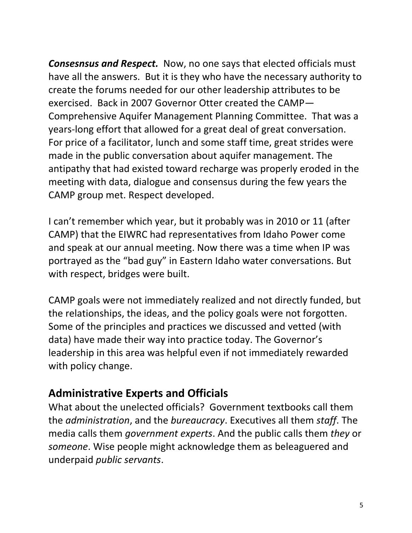*Consesnsus and Respect.* Now, no one says that elected officials must have all the answers. But it is they who have the necessary authority to create the forums needed for our other leadership attributes to be exercised. Back in 2007 Governor Otter created the CAMP— Comprehensive Aquifer Management Planning Committee. That was a years-long effort that allowed for a great deal of great conversation. For price of a facilitator, lunch and some staff time, great strides were made in the public conversation about aquifer management. The antipathy that had existed toward recharge was properly eroded in the meeting with data, dialogue and consensus during the few years the CAMP group met. Respect developed.

I can't remember which year, but it probably was in 2010 or 11 (after CAMP) that the EIWRC had representatives from Idaho Power come and speak at our annual meeting. Now there was a time when IP was portrayed as the "bad guy" in Eastern Idaho water conversations. But with respect, bridges were built.

CAMP goals were not immediately realized and not directly funded, but the relationships, the ideas, and the policy goals were not forgotten. Some of the principles and practices we discussed and vetted (with data) have made their way into practice today. The Governor's leadership in this area was helpful even if not immediately rewarded with policy change.

## **Administrative Experts and Officials**

What about the unelected officials? Government textbooks call them the *administration*, and the *bureaucracy*. Executives all them *staff*. The media calls them *government experts*. And the public calls them *they* or *someone*. Wise people might acknowledge them as beleaguered and underpaid *public servants*.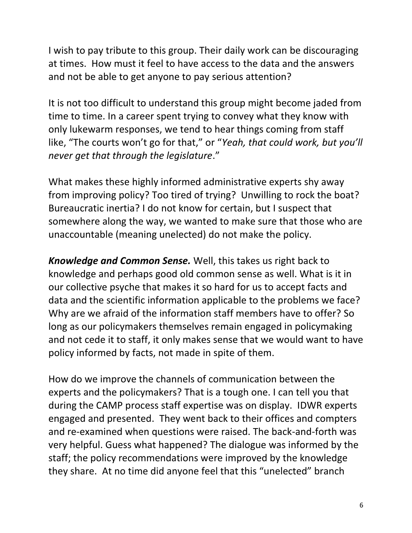I wish to pay tribute to this group. Their daily work can be discouraging at times. How must it feel to have access to the data and the answers and not be able to get anyone to pay serious attention?

It is not too difficult to understand this group might become jaded from time to time. In a career spent trying to convey what they know with only lukewarm responses, we tend to hear things coming from staff like, "The courts won't go for that," or "*Yeah, that could work, but you'll never get that through the legislature*."

What makes these highly informed administrative experts shy away from improving policy? Too tired of trying? Unwilling to rock the boat? Bureaucratic inertia? I do not know for certain, but I suspect that somewhere along the way, we wanted to make sure that those who are unaccountable (meaning unelected) do not make the policy.

*Knowledge and Common Sense.* Well, this takes us right back to knowledge and perhaps good old common sense as well. What is it in our collective psyche that makes it so hard for us to accept facts and data and the scientific information applicable to the problems we face? Why are we afraid of the information staff members have to offer? So long as our policymakers themselves remain engaged in policymaking and not cede it to staff, it only makes sense that we would want to have policy informed by facts, not made in spite of them.

How do we improve the channels of communication between the experts and the policymakers? That is a tough one. I can tell you that during the CAMP process staff expertise was on display. IDWR experts engaged and presented. They went back to their offices and compters and re-examined when questions were raised. The back-and-forth was very helpful. Guess what happened? The dialogue was informed by the staff; the policy recommendations were improved by the knowledge they share. At no time did anyone feel that this "unelected" branch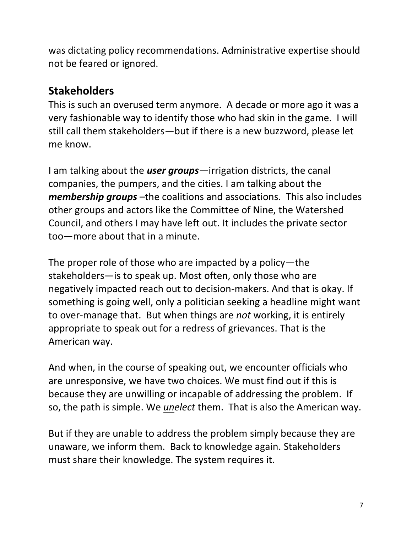was dictating policy recommendations. Administrative expertise should not be feared or ignored.

## **Stakeholders**

This is such an overused term anymore. A decade or more ago it was a very fashionable way to identify those who had skin in the game. I will still call them stakeholders—but if there is a new buzzword, please let me know.

I am talking about the *user groups*—irrigation districts, the canal companies, the pumpers, and the cities. I am talking about the *membership groups* –the coalitions and associations. This also includes other groups and actors like the Committee of Nine, the Watershed Council, and others I may have left out. It includes the private sector too—more about that in a minute.

The proper role of those who are impacted by a policy—the stakeholders—is to speak up. Most often, only those who are negatively impacted reach out to decision-makers. And that is okay. If something is going well, only a politician seeking a headline might want to over-manage that. But when things are *not* working, it is entirely appropriate to speak out for a redress of grievances. That is the American way.

And when, in the course of speaking out, we encounter officials who are unresponsive, we have two choices. We must find out if this is because they are unwilling or incapable of addressing the problem. If so, the path is simple. We *unelect* them. That is also the American way.

But if they are unable to address the problem simply because they are unaware, we inform them. Back to knowledge again. Stakeholders must share their knowledge. The system requires it.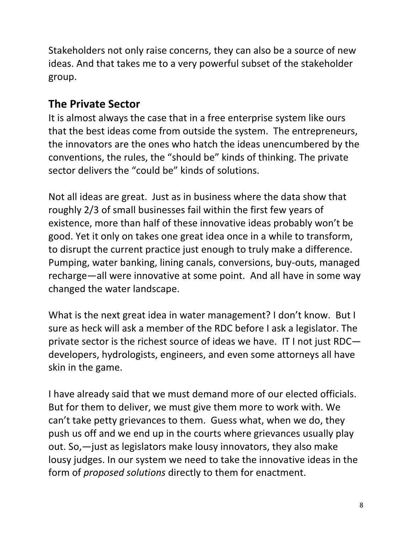Stakeholders not only raise concerns, they can also be a source of new ideas. And that takes me to a very powerful subset of the stakeholder group.

## **The Private Sector**

It is almost always the case that in a free enterprise system like ours that the best ideas come from outside the system. The entrepreneurs, the innovators are the ones who hatch the ideas unencumbered by the conventions, the rules, the "should be" kinds of thinking. The private sector delivers the "could be" kinds of solutions.

Not all ideas are great. Just as in business where the data show that roughly 2/3 of small businesses fail within the first few years of existence, more than half of these innovative ideas probably won't be good. Yet it only on takes one great idea once in a while to transform, to disrupt the current practice just enough to truly make a difference. Pumping, water banking, lining canals, conversions, buy-outs, managed recharge—all were innovative at some point. And all have in some way changed the water landscape.

What is the next great idea in water management? I don't know. But I sure as heck will ask a member of the RDC before I ask a legislator. The private sector is the richest source of ideas we have. IT I not just RDC developers, hydrologists, engineers, and even some attorneys all have skin in the game.

I have already said that we must demand more of our elected officials. But for them to deliver, we must give them more to work with. We can't take petty grievances to them. Guess what, when we do, they push us off and we end up in the courts where grievances usually play out. So,—just as legislators make lousy innovators, they also make lousy judges. In our system we need to take the innovative ideas in the form of *proposed solutions* directly to them for enactment.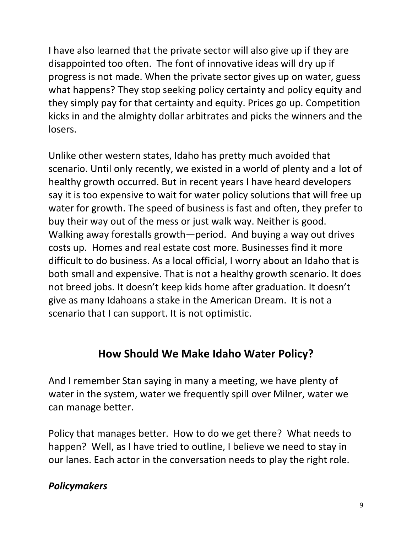I have also learned that the private sector will also give up if they are disappointed too often. The font of innovative ideas will dry up if progress is not made. When the private sector gives up on water, guess what happens? They stop seeking policy certainty and policy equity and they simply pay for that certainty and equity. Prices go up. Competition kicks in and the almighty dollar arbitrates and picks the winners and the losers.

Unlike other western states, Idaho has pretty much avoided that scenario. Until only recently, we existed in a world of plenty and a lot of healthy growth occurred. But in recent years I have heard developers say it is too expensive to wait for water policy solutions that will free up water for growth. The speed of business is fast and often, they prefer to buy their way out of the mess or just walk way. Neither is good. Walking away forestalls growth—period. And buying a way out drives costs up. Homes and real estate cost more. Businesses find it more difficult to do business. As a local official, I worry about an Idaho that is both small and expensive. That is not a healthy growth scenario. It does not breed jobs. It doesn't keep kids home after graduation. It doesn't give as many Idahoans a stake in the American Dream. It is not a scenario that I can support. It is not optimistic.

#### **How Should We Make Idaho Water Policy?**

And I remember Stan saying in many a meeting, we have plenty of water in the system, water we frequently spill over Milner, water we can manage better.

Policy that manages better. How to do we get there? What needs to happen? Well, as I have tried to outline, I believe we need to stay in our lanes. Each actor in the conversation needs to play the right role.

#### *Policymakers*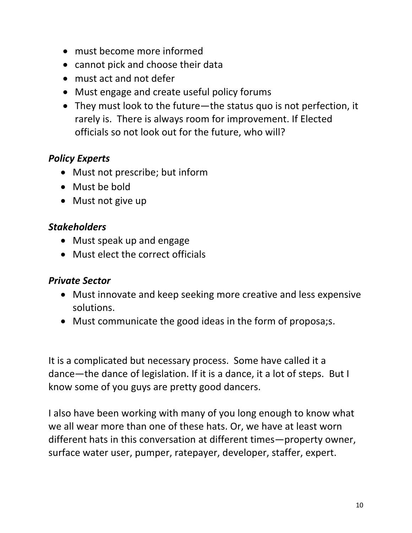- must become more informed
- cannot pick and choose their data
- must act and not defer
- Must engage and create useful policy forums
- They must look to the future—the status quo is not perfection, it rarely is. There is always room for improvement. If Elected officials so not look out for the future, who will?

#### *Policy Experts*

- Must not prescribe; but inform
- Must be bold
- Must not give up

#### *Stakeholders*

- Must speak up and engage
- Must elect the correct officials

#### *Private Sector*

- Must innovate and keep seeking more creative and less expensive solutions.
- Must communicate the good ideas in the form of proposa;s.

It is a complicated but necessary process. Some have called it a dance—the dance of legislation. If it is a dance, it a lot of steps. But I know some of you guys are pretty good dancers.

I also have been working with many of you long enough to know what we all wear more than one of these hats. Or, we have at least worn different hats in this conversation at different times—property owner, surface water user, pumper, ratepayer, developer, staffer, expert.